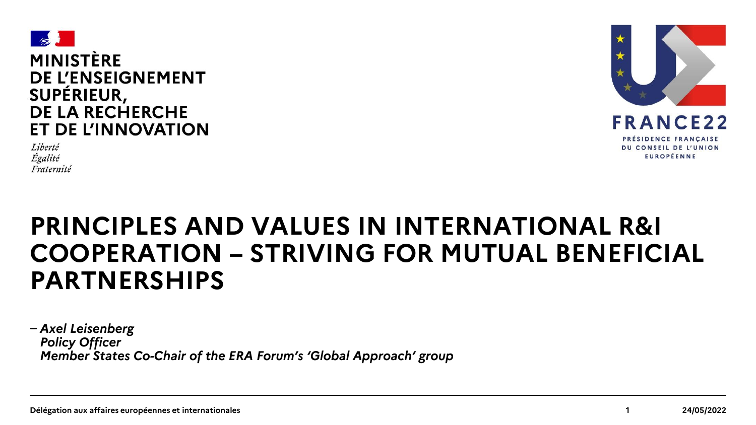





# **PRINCIPLES AND VALUES IN INTERNATIONAL R&I COOPERATION – STRIVING FOR MUTUAL BENEFICIAL PARTNERSHIPS**

*̵̶Axel Leisenberg Policy Officer Member States Co-Chair of the ERA Forum's 'Global Approach' group*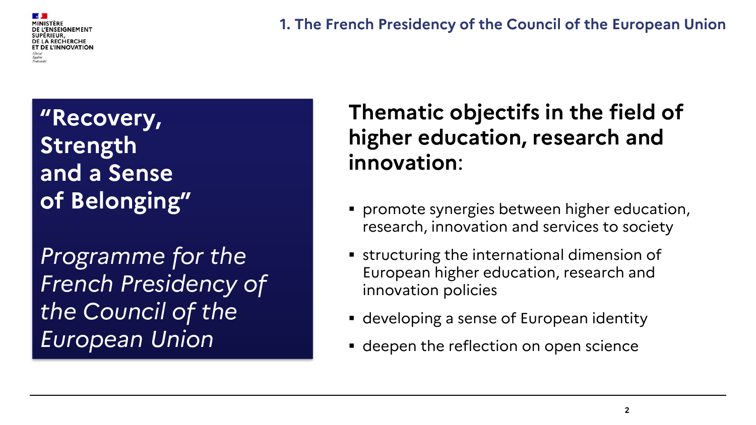**DE LA RECHERCHE** ET DE L'INNOVATION

**1. The French Presidency of the Council of the European Union**

**"Recovery, Strength and a Sense of Belonging"**

*Programme for the French Presidency of the Council of the European Union*

# **Thematic objectifs in the field of higher education, research and innovation**:

- promote synergies between higher education, research, innovation and services to society
- **Exerce international dimension of** European higher education, research and innovation policies
- developing a sense of European identity
- **deepen the reflection on open science**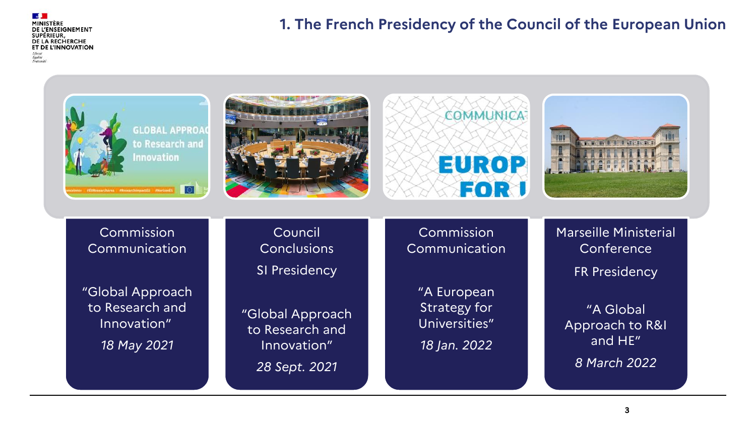DE L'ENSEIGNEMENT **SUPÉRIEUR** DE LA RECHERCHE ET DE L'INNOVATION Égalité<br>Fraternit

### **1. The French Presidency of the Council of the European Union**

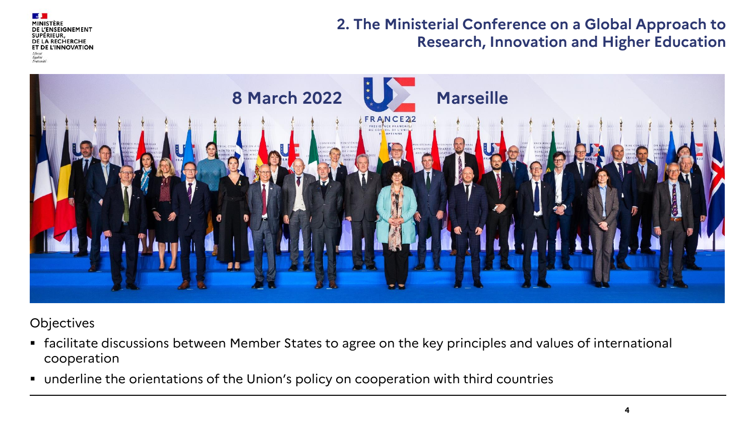**ISEIGNEMENT** DE LA RECHERCHE ET DE L'INNOVATION

### **2. The Ministerial Conference on a Global Approach to Research, Innovation and Higher Education**



**Objectives** 

- facilitate discussions between Member States to agree on the key principles and values of international cooperation
- underline the orientations of the Union's policy on cooperation with third countries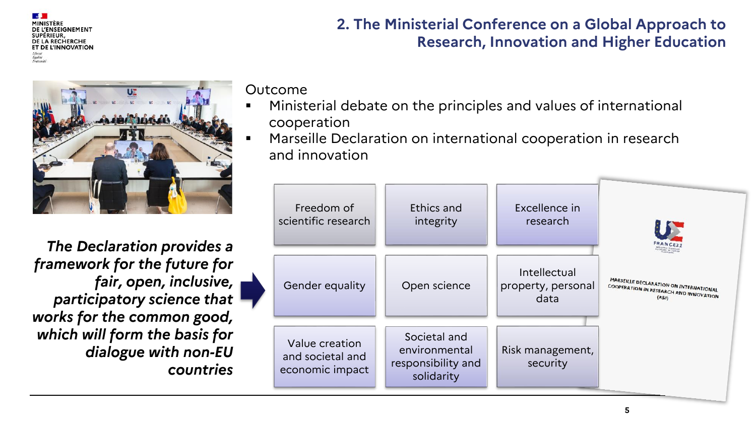ENSEIGNEMENT DE LA RECHERCHE ET DE L'INNOVATION

*The Declaration provides a framework for the future for fair, open, inclusive, participatory science that works for the common good, which will form the basis for dialogue with non-EU countries*

**2. The Ministerial Conference on a Global Approach to Research, Innovation and Higher Education**

Outcome

- Ministerial debate on the principles and values of international cooperation
- Marseille Declaration on international cooperation in research and innovation

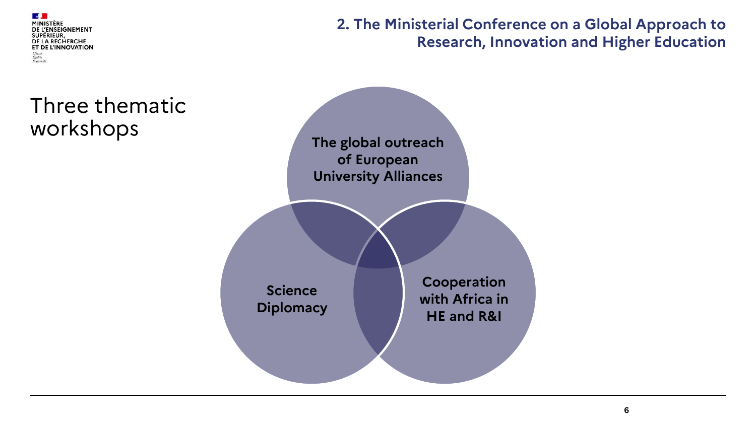

**2. The Ministerial Conference on a Global Approach to Research, Innovation and Higher Education**

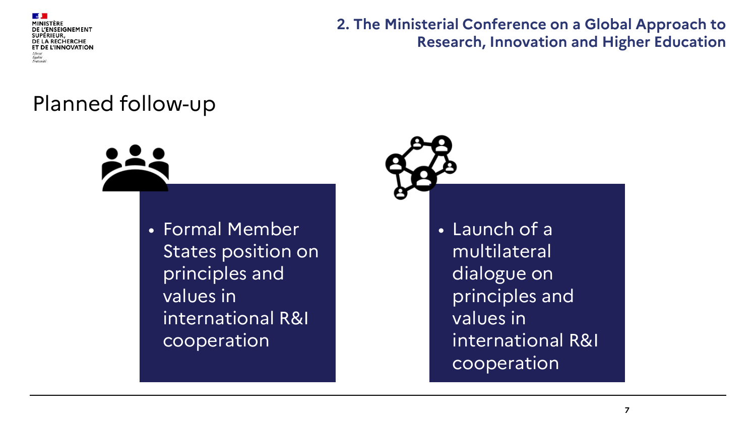

**2. The Ministerial Conference on a Global Approach to Research, Innovation and Higher Education**

## Planned follow-up



• Launch of a multilateral dialogue on principles and values in international R&I cooperation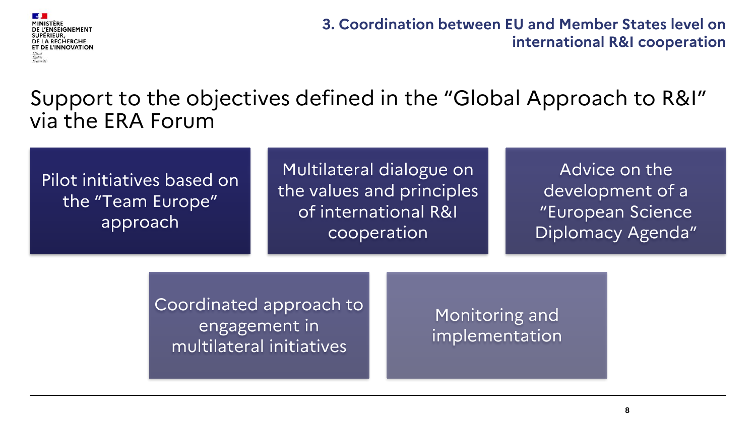

**3. Coordination between EU and Member States level on international R&I cooperation** 

### Support to the objectives defined in the "Global Approach to R&I" via the ERA Forum

### Pilot initiatives based on the "Team Europe" approach

Multilateral dialogue on the values and principles of international R&I cooperation

Advice on the development of a "European Science Diplomacy Agenda"

Coordinated approach to engagement in multilateral initiatives

Monitoring and implementation